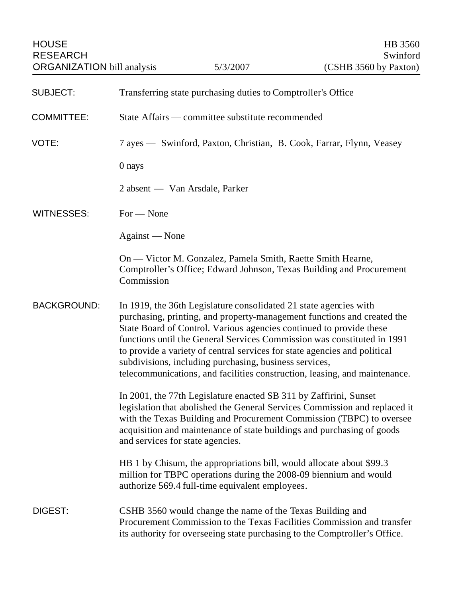| <b>HOUSE</b><br><b>RESEARCH</b><br><b>ORGANIZATION</b> bill analysis |                                                                      | 5/3/2007                                                                                                                    | HB 3560<br>Swinford<br>(CSHB 3560 by Paxton)                                                                                                                                                                                                                                                                                                                                         |
|----------------------------------------------------------------------|----------------------------------------------------------------------|-----------------------------------------------------------------------------------------------------------------------------|--------------------------------------------------------------------------------------------------------------------------------------------------------------------------------------------------------------------------------------------------------------------------------------------------------------------------------------------------------------------------------------|
| <b>SUBJECT:</b>                                                      |                                                                      | Transferring state purchasing duties to Comptroller's Office                                                                |                                                                                                                                                                                                                                                                                                                                                                                      |
| <b>COMMITTEE:</b>                                                    | State Affairs — committee substitute recommended                     |                                                                                                                             |                                                                                                                                                                                                                                                                                                                                                                                      |
| VOTE:                                                                | 7 ayes — Swinford, Paxton, Christian, B. Cook, Farrar, Flynn, Veasey |                                                                                                                             |                                                                                                                                                                                                                                                                                                                                                                                      |
|                                                                      | 0 nays                                                               |                                                                                                                             |                                                                                                                                                                                                                                                                                                                                                                                      |
|                                                                      | 2 absent — Van Arsdale, Parker                                       |                                                                                                                             |                                                                                                                                                                                                                                                                                                                                                                                      |
| <b>WITNESSES:</b>                                                    | $For - None$                                                         |                                                                                                                             |                                                                                                                                                                                                                                                                                                                                                                                      |
|                                                                      | Against — None                                                       |                                                                                                                             |                                                                                                                                                                                                                                                                                                                                                                                      |
|                                                                      | Commission                                                           | On — Victor M. Gonzalez, Pamela Smith, Raette Smith Hearne,                                                                 | Comptroller's Office; Edward Johnson, Texas Building and Procurement                                                                                                                                                                                                                                                                                                                 |
| <b>BACKGROUND:</b>                                                   |                                                                      | In 1919, the 36th Legislature consolidated 21 state agencies with<br>subdivisions, including purchasing, business services, | purchasing, printing, and property-management functions and created the<br>State Board of Control. Various agencies continued to provide these<br>functions until the General Services Commission was constituted in 1991<br>to provide a variety of central services for state agencies and political<br>telecommunications, and facilities construction, leasing, and maintenance. |
|                                                                      | and services for state agencies.                                     | In 2001, the 77th Legislature enacted SB 311 by Zaffirini, Sunset                                                           | legislation that abolished the General Services Commission and replaced it<br>with the Texas Building and Procurement Commission (TBPC) to oversee<br>acquisition and maintenance of state buildings and purchasing of goods                                                                                                                                                         |
|                                                                      |                                                                      | authorize 569.4 full-time equivalent employees.                                                                             | HB 1 by Chisum, the appropriations bill, would allocate about \$99.3<br>million for TBPC operations during the 2008-09 biennium and would                                                                                                                                                                                                                                            |
| DIGEST:                                                              |                                                                      | CSHB 3560 would change the name of the Texas Building and                                                                   | Procurement Commission to the Texas Facilities Commission and transfer<br>its authority for overseeing state purchasing to the Comptroller's Office.                                                                                                                                                                                                                                 |
|                                                                      |                                                                      |                                                                                                                             |                                                                                                                                                                                                                                                                                                                                                                                      |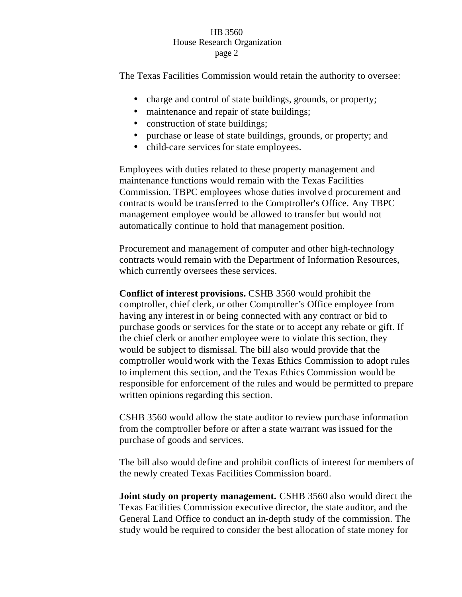## HB 3560 House Research Organization page 2

The Texas Facilities Commission would retain the authority to oversee:

- charge and control of state buildings, grounds, or property;
- maintenance and repair of state buildings;
- construction of state buildings;
- purchase or lease of state buildings, grounds, or property; and
- child-care services for state employees.

Employees with duties related to these property management and maintenance functions would remain with the Texas Facilities Commission. TBPC employees whose duties involve d procurement and contracts would be transferred to the Comptroller's Office. Any TBPC management employee would be allowed to transfer but would not automatically continue to hold that management position.

Procurement and management of computer and other high-technology contracts would remain with the Department of Information Resources, which currently oversees these services.

**Conflict of interest provisions.** CSHB 3560 would prohibit the comptroller, chief clerk, or other Comptroller's Office employee from having any interest in or being connected with any contract or bid to purchase goods or services for the state or to accept any rebate or gift. If the chief clerk or another employee were to violate this section, they would be subject to dismissal. The bill also would provide that the comptroller would work with the Texas Ethics Commission to adopt rules to implement this section, and the Texas Ethics Commission would be responsible for enforcement of the rules and would be permitted to prepare written opinions regarding this section.

CSHB 3560 would allow the state auditor to review purchase information from the comptroller before or after a state warrant was issued for the purchase of goods and services.

The bill also would define and prohibit conflicts of interest for members of the newly created Texas Facilities Commission board.

**Joint study on property management.** CSHB 3560 also would direct the Texas Facilities Commission executive director, the state auditor, and the General Land Office to conduct an in-depth study of the commission. The study would be required to consider the best allocation of state money for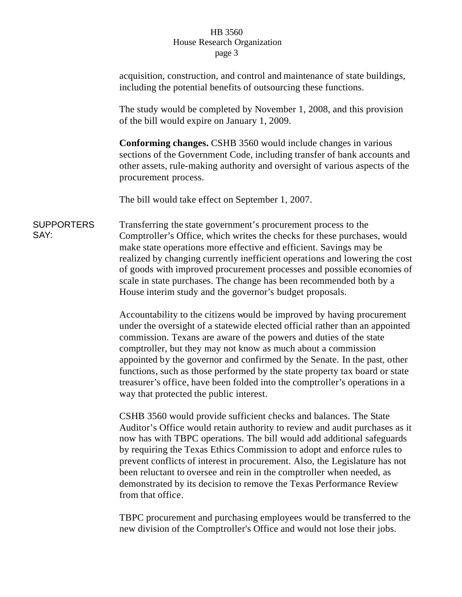## HB 3560 House Research Organization page 3

|                           | acquisition, construction, and control and maintenance of state buildings,<br>including the potential benefits of outsourcing these functions.                                                                                                                                                                                                                                                                                                                                                                                                                                      |  |  |
|---------------------------|-------------------------------------------------------------------------------------------------------------------------------------------------------------------------------------------------------------------------------------------------------------------------------------------------------------------------------------------------------------------------------------------------------------------------------------------------------------------------------------------------------------------------------------------------------------------------------------|--|--|
|                           | The study would be completed by November 1, 2008, and this provision<br>of the bill would expire on January 1, 2009.                                                                                                                                                                                                                                                                                                                                                                                                                                                                |  |  |
|                           | <b>Conforming changes.</b> CSHB 3560 would include changes in various<br>sections of the Government Code, including transfer of bank accounts and<br>other assets, rule-making authority and oversight of various aspects of the<br>procurement process.                                                                                                                                                                                                                                                                                                                            |  |  |
|                           | The bill would take effect on September 1, 2007.                                                                                                                                                                                                                                                                                                                                                                                                                                                                                                                                    |  |  |
| <b>SUPPORTERS</b><br>SAY: | Transferring the state government's procurement process to the<br>Comptroller's Office, which writes the checks for these purchases, would<br>make state operations more effective and efficient. Savings may be<br>realized by changing currently inefficient operations and lowering the cost<br>of goods with improved procurement processes and possible economies of<br>scale in state purchases. The change has been recommended both by a<br>House interim study and the governor's budget proposals.                                                                        |  |  |
|                           | Accountability to the citizens would be improved by having procurement<br>under the oversight of a statewide elected official rather than an appointed<br>commission. Texans are aware of the powers and duties of the state<br>comptroller, but they may not know as much about a commission<br>appointed by the governor and confirmed by the Senate. In the past, other<br>functions, such as those performed by the state property tax board or state<br>treasurer's office, have been folded into the comptroller's operations in a<br>way that protected the public interest. |  |  |
|                           |                                                                                                                                                                                                                                                                                                                                                                                                                                                                                                                                                                                     |  |  |

CSHB 3560 would provide sufficient checks and balances. The State Auditor's Office would retain authority to review and audit purchases as it now has with TBPC operations. The bill would add additional safeguards by requiring the Texas Ethics Commission to adopt and enforce rules to prevent conflicts of interest in procurement. Also, the Legislature has not been reluctant to oversee and rein in the comptroller when needed, as demonstrated by its decision to remove the Texas Performance Review from that office.

TBPC procurement and purchasing employees would be transferred to the new division of the Comptroller's Office and would not lose their jobs.